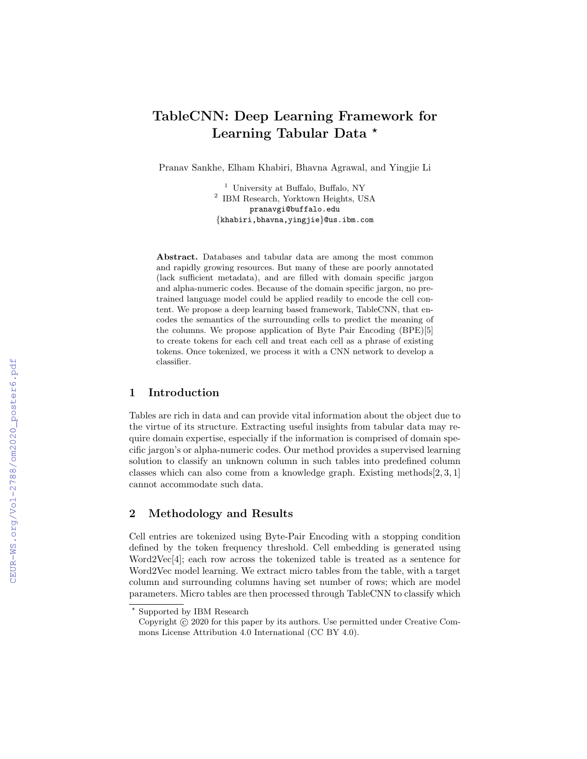# TableCNN: Deep Learning Framework for Learning Tabular Data \*

Pranav Sankhe, Elham Khabiri, Bhavna Agrawal, and Yingjie Li

<sup>1</sup> University at Buffalo, Buffalo, NY 2 IBM Research, Yorktown Heights, USA pranavgi@buffalo.edu {khabiri,bhavna,yingjie}@us.ibm.com

Abstract. Databases and tabular data are among the most common and rapidly growing resources. But many of these are poorly annotated (lack sufficient metadata), and are filled with domain specific jargon and alpha-numeric codes. Because of the domain specific jargon, no pretrained language model could be applied readily to encode the cell content. We propose a deep learning based framework, TableCNN, that encodes the semantics of the surrounding cells to predict the meaning of the columns. We propose application of Byte Pair Encoding (BPE)[5] to create tokens for each cell and treat each cell as a phrase of existing tokens. Once tokenized, we process it with a CNN network to develop a classifier.

### 1 Introduction

Tables are rich in data and can provide vital information about the object due to the virtue of its structure. Extracting useful insights from tabular data may require domain expertise, especially if the information is comprised of domain specific jargon's or alpha-numeric codes. Our method provides a supervised learning solution to classify an unknown column in such tables into predefined column classes which can also come from a knowledge graph. Existing methods $[2, 3, 1]$ cannot accommodate such data.

## 2 Methodology and Results

Cell entries are tokenized using Byte-Pair Encoding with a stopping condition defined by the token frequency threshold. Cell embedding is generated using Word2Vec[4]; each row across the tokenized table is treated as a sentence for Word2Vec model learning. We extract micro tables from the table, with a target column and surrounding columns having set number of rows; which are model parameters. Micro tables are then processed through TableCNN to classify which

<sup>?</sup> Supported by IBM Research

Copyright (c) 2020 for this paper by its authors. Use permitted under Creative Commons License Attribution 4.0 International (CC BY 4.0).